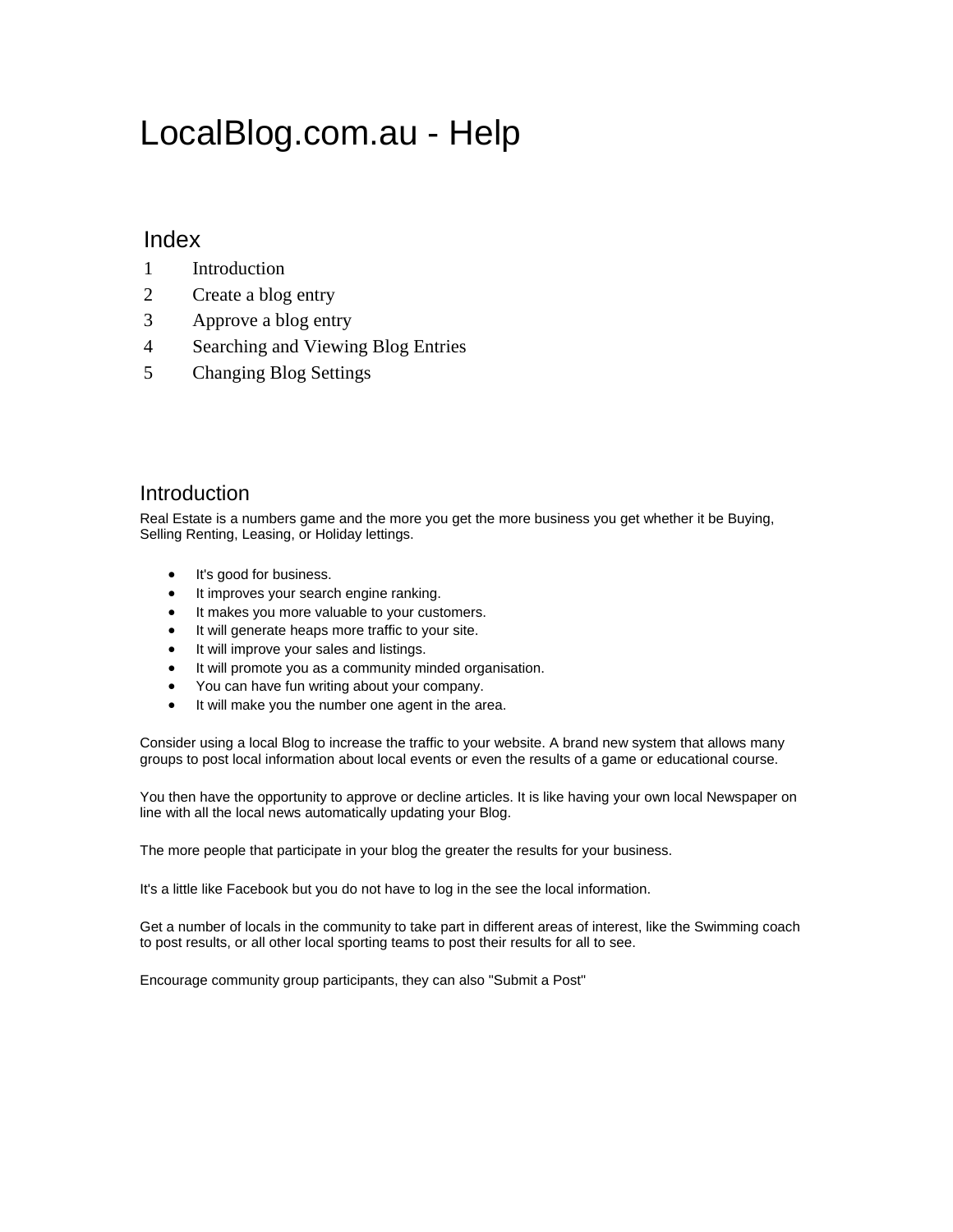# LocalBlog.com.au - Help

#### Index

- 1 Introduction
- 2 Create a blog entry
- 3 Approve a blog entry
- 4 Searching and Viewing Blog Entries
- 5 Changing Blog Settings

#### Introduction

Real Estate is a numbers game and the more you get the more business you get whether it be Buying, Selling Renting, Leasing, or Holiday lettings.

- It's good for business.
- It improves your search engine ranking.
- It makes you more valuable to your customers.
- It will generate heaps more traffic to your site.
- It will improve your sales and listings.
- It will promote you as a community minded organisation.
- You can have fun writing about your company.
- It will make you the number one agent in the area.

Consider using a local Blog to increase the traffic to your website. A brand new system that allows many groups to post local information about local events or even the results of a game or educational course.

You then have the opportunity to approve or decline articles. It is like having your own local Newspaper on line with all the local news automatically updating your Blog.

The more people that participate in your blog the greater the results for your business.

It's a little like Facebook but you do not have to log in the see the local information.

Get a number of locals in the community to take part in different areas of interest, like the Swimming coach to post results, or all other local sporting teams to post their results for all to see.

Encourage community group participants, they can also "Submit a Post"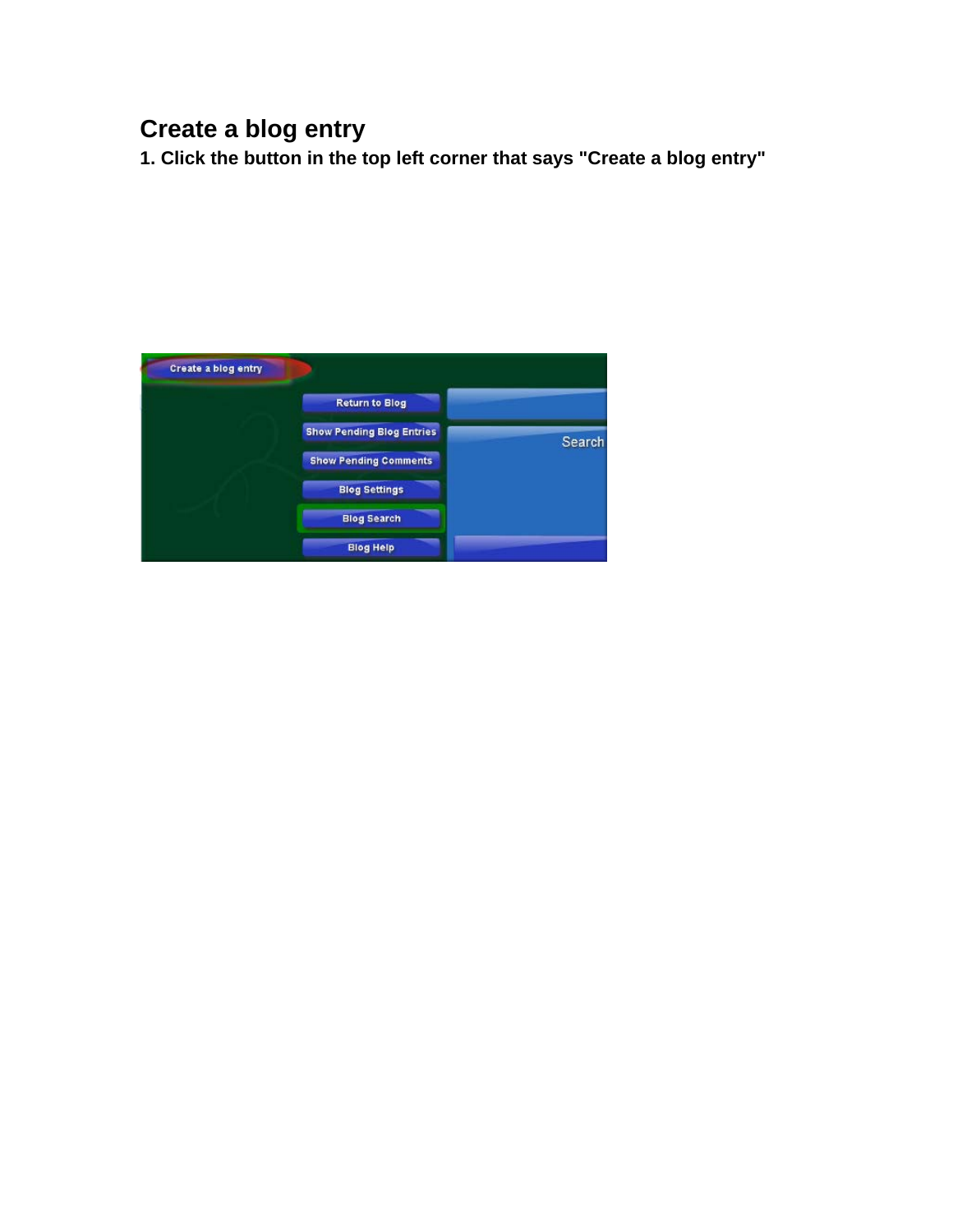## **Create a blog entry**

**1. Click the button in the top left corner that says "Create a blog entry"** 

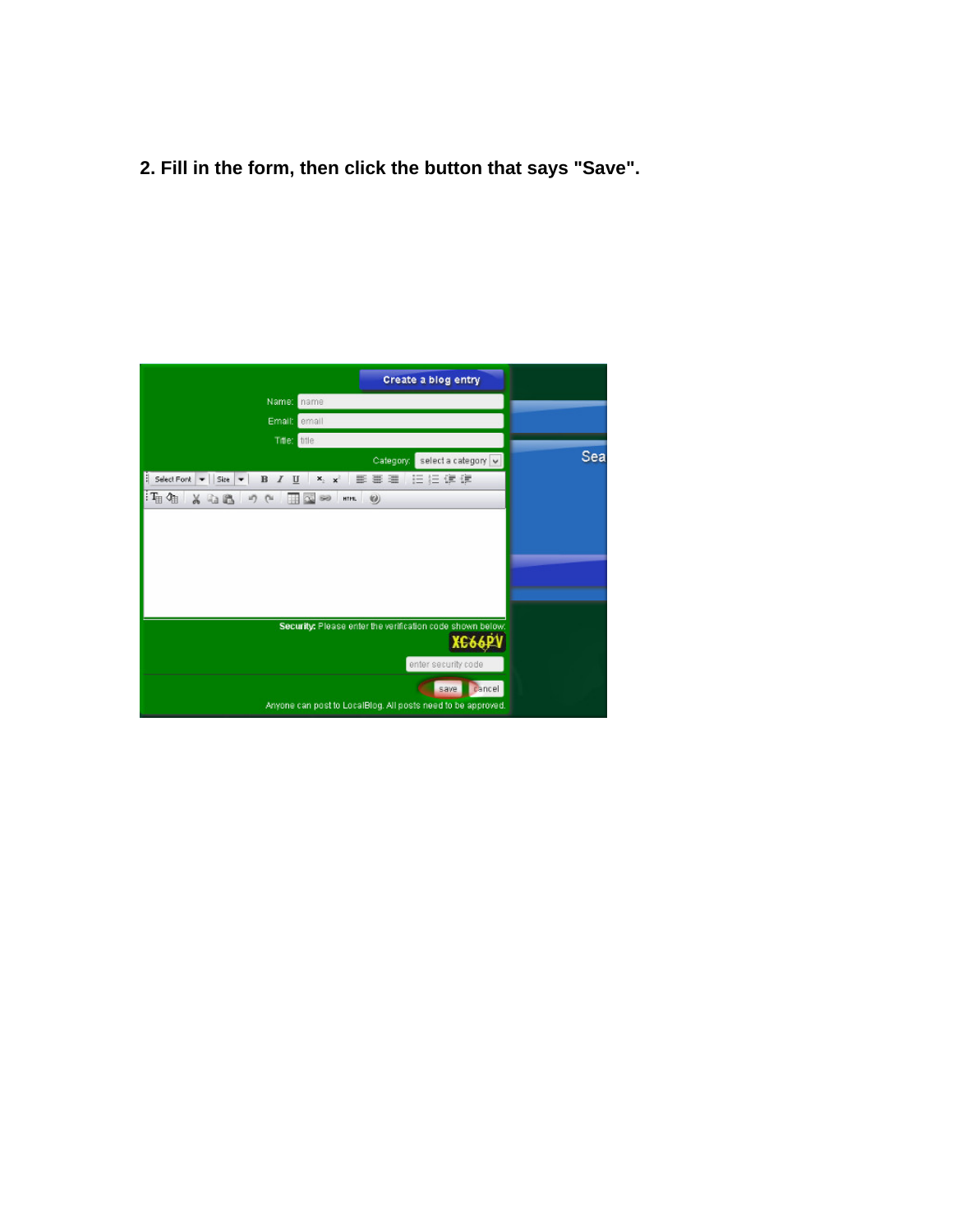**2. Fill in the form, then click the button that says "Save".** 

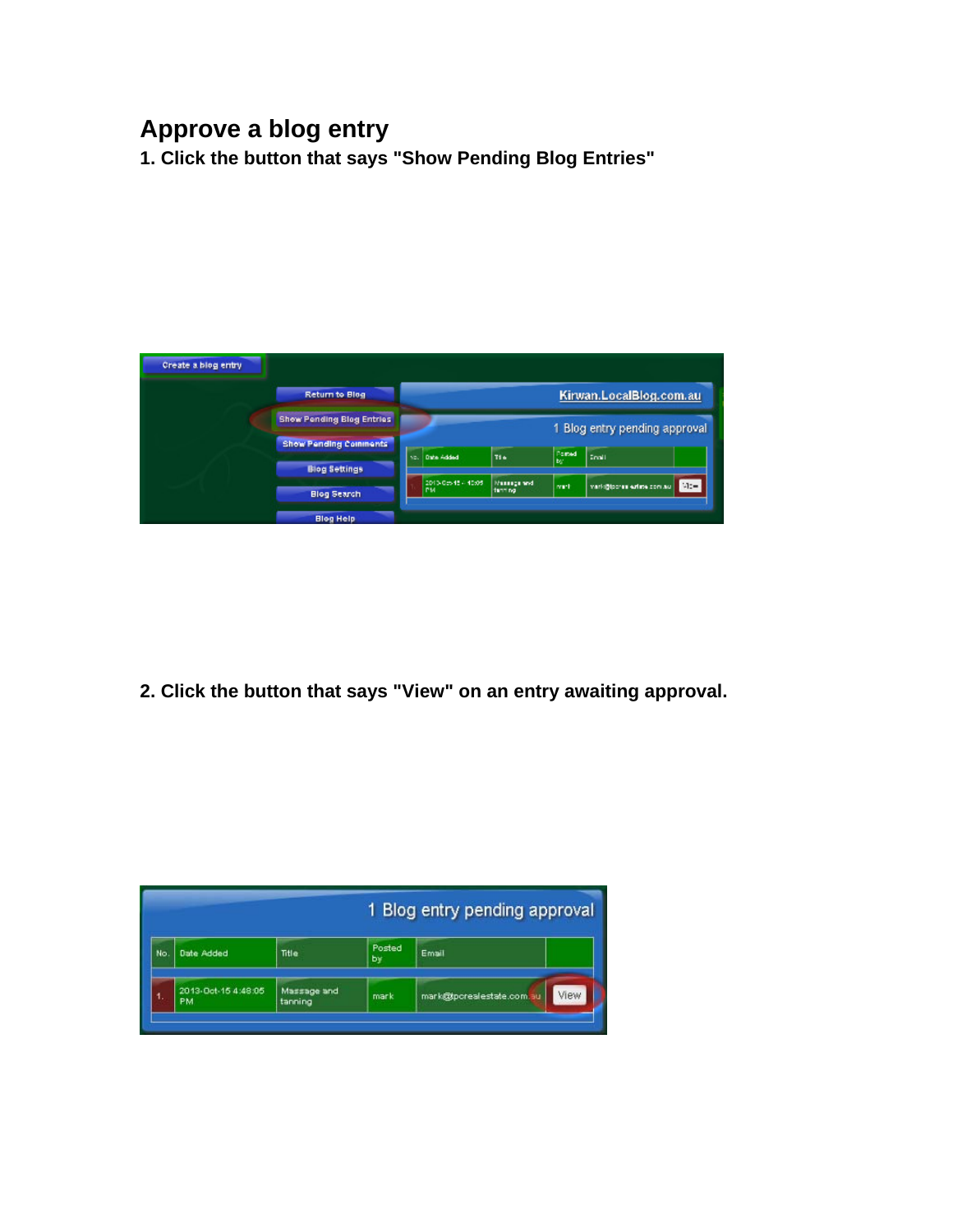### **Approve a blog entry**

**1. Click the button that says "Show Pending Blog Entries"** 



**2. Click the button that says "View" on an entry awaiting approval.** 

|     |                                  | 1 Blog entry pending approval |                     |                           |      |  |  |  |
|-----|----------------------------------|-------------------------------|---------------------|---------------------------|------|--|--|--|
| No. | <b>Date Added</b>                | Title                         | <b>Posted</b><br>by | Email                     |      |  |  |  |
|     | 2013-Oct-15 4:48:05<br><b>PM</b> | Massage and<br>tanning        | mark                | mark@tpcrealestate.com.au | View |  |  |  |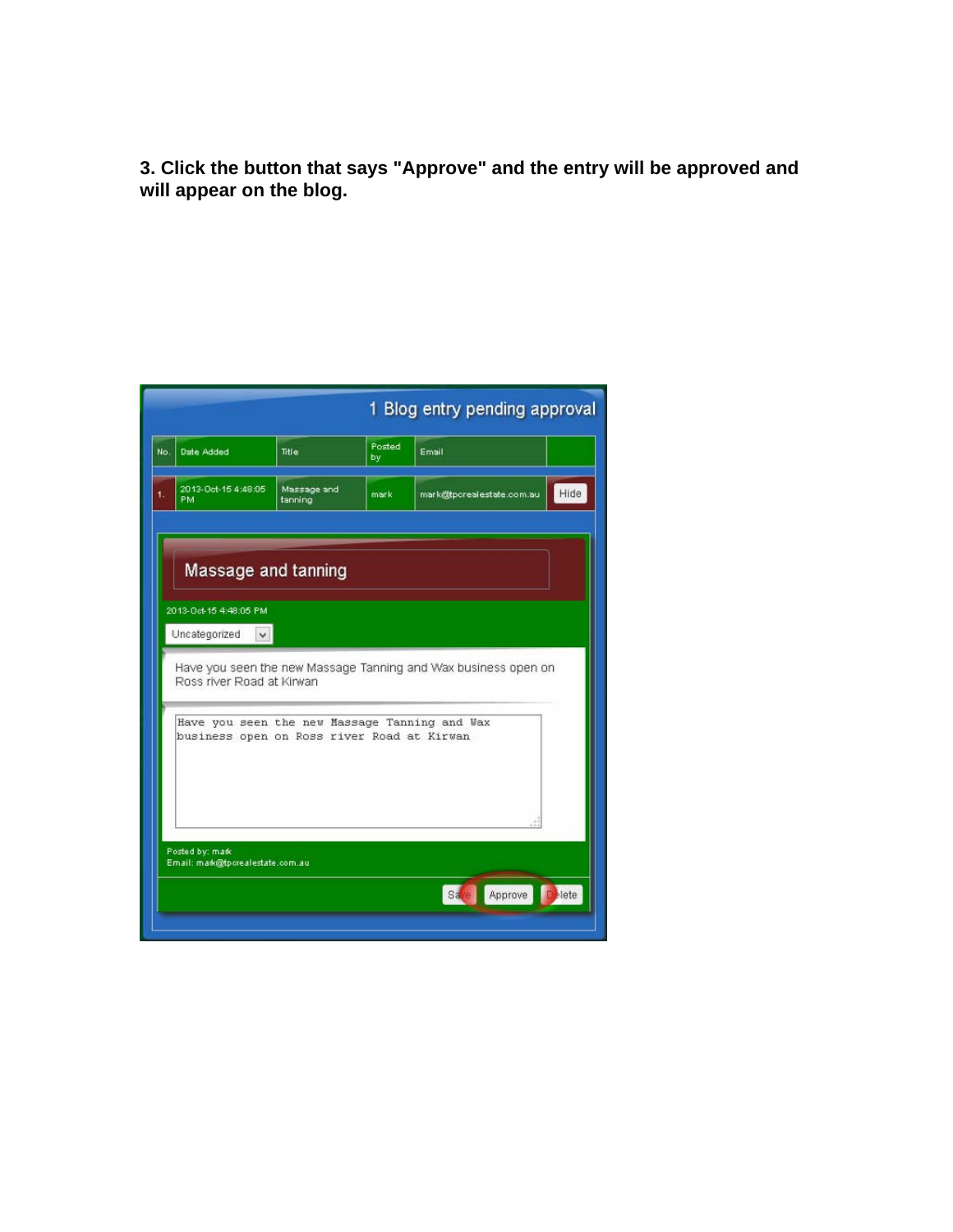**3. Click the button that says "Approve" and the entry will be approved and will appear on the blog.** 

| 1 Blog entry pending approval                                                               |                        |              |                           |      |  |  |  |  |  |
|---------------------------------------------------------------------------------------------|------------------------|--------------|---------------------------|------|--|--|--|--|--|
| <b>Date Added</b>                                                                           | Title                  | Posted<br>bv | Email                     |      |  |  |  |  |  |
| 2013-Oct-15 4:48:05<br>PM                                                                   | Massage and<br>tanning | mark         | mark@tpcrealestate.com.au | Hide |  |  |  |  |  |
| Massage and tanning<br>2013-Oct-15 4:48:05 PM<br>Uncategorized<br>$\vee$                    |                        |              |                           |      |  |  |  |  |  |
| Have you seen the new Massage Tanning and Wax business open on<br>Ross river Road at Kirwan |                        |              |                           |      |  |  |  |  |  |
| Have you seen the new Massage Tanning and Wax<br>business open on Ross river Road at Kirwan |                        |              |                           |      |  |  |  |  |  |
|                                                                                             |                        |              |                           |      |  |  |  |  |  |
|                                                                                             |                        |              |                           |      |  |  |  |  |  |
| Posted by: mark<br>Email: mark@tpcrealestate.com.au                                         |                        |              |                           |      |  |  |  |  |  |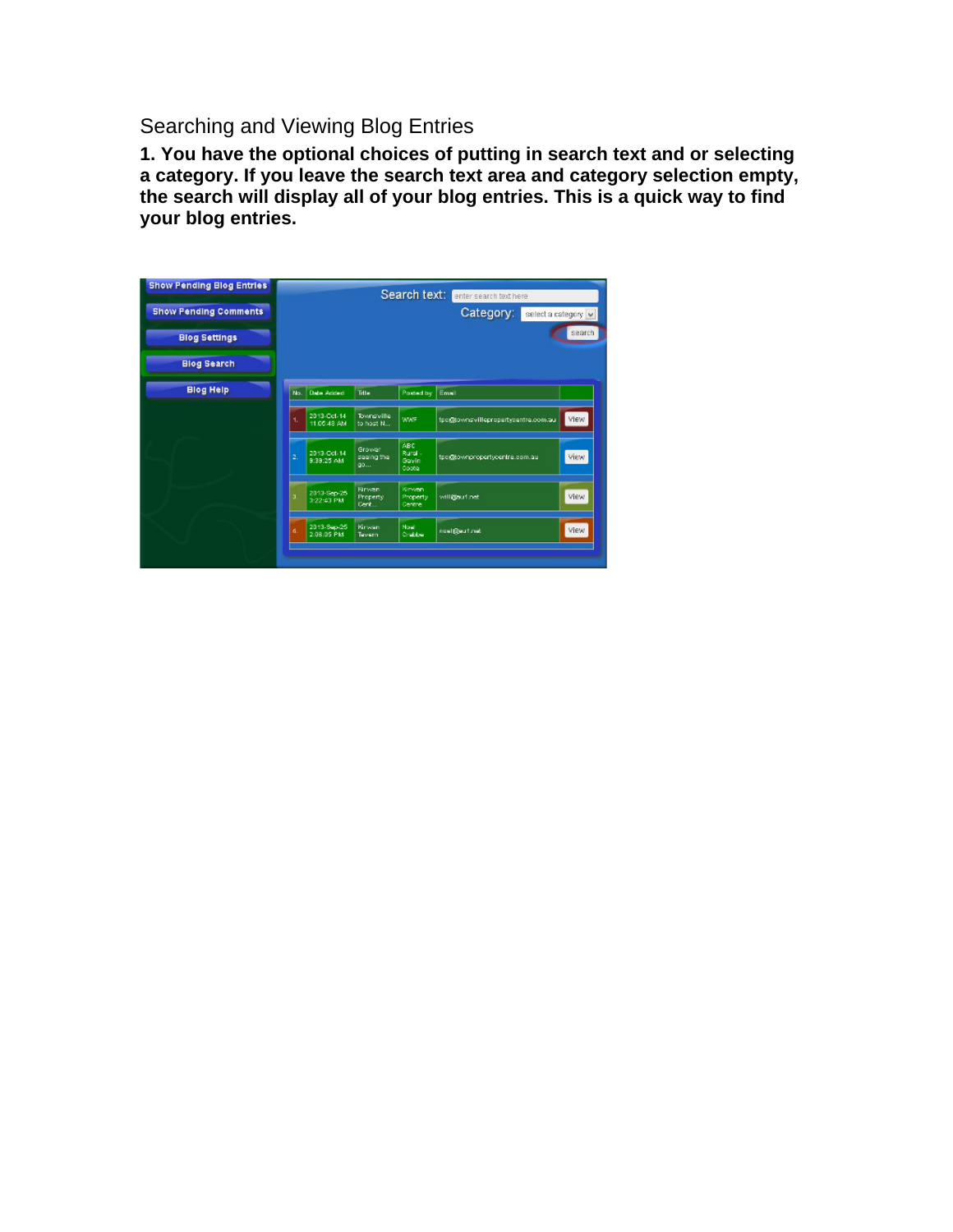### Searching and Viewing Blog Entries

**1. You have the optional choices of putting in search text and or selecting a category. If you leave the search text area and category selection empty, the search will display all of your blog entries. This is a quick way to find your blog entries.** 

| <b>Show Pending Blog Entries</b><br><b>Show Pending Comments</b><br><b>Blog Settings</b><br><b>Blog Search</b> | Search text:<br>enter search text here<br>Category:<br>select a category v<br>search |                            |                                |                                       |                                     |      |  |
|----------------------------------------------------------------------------------------------------------------|--------------------------------------------------------------------------------------|----------------------------|--------------------------------|---------------------------------------|-------------------------------------|------|--|
| <b>Blog Help</b>                                                                                               | No.                                                                                  | <b>Date Added</b>          | Tril =                         | Posted by                             | Email                               |      |  |
|                                                                                                                | 1.                                                                                   | 2013-Oct-14<br>11.05.48 AM | <b>Townsville</b><br>to host N | <b>WWF</b>                            | tpo@townsvillepropertypentre.com.au | View |  |
|                                                                                                                | 2.                                                                                   | 2013-Oct-14<br>9:39:25 AM  | Growar<br>seeing the<br>00     | ABC<br>Rural -<br>Govin<br>Coota      | tpo@townpropertycentre.com.au       | View |  |
|                                                                                                                | a,                                                                                   | 2013-Sep-25<br>3:22:43 PM  | Kirwan<br>Property<br>Cent.    | Kinvan<br>Property<br><b>Decitive</b> | will@autinet                        | View |  |
|                                                                                                                | d.                                                                                   | 2013-Sep-25<br>2:08:05 PM  | Kirwan<br>Tavern               | Now<br>Crabbe                         | noel@euf.net                        | View |  |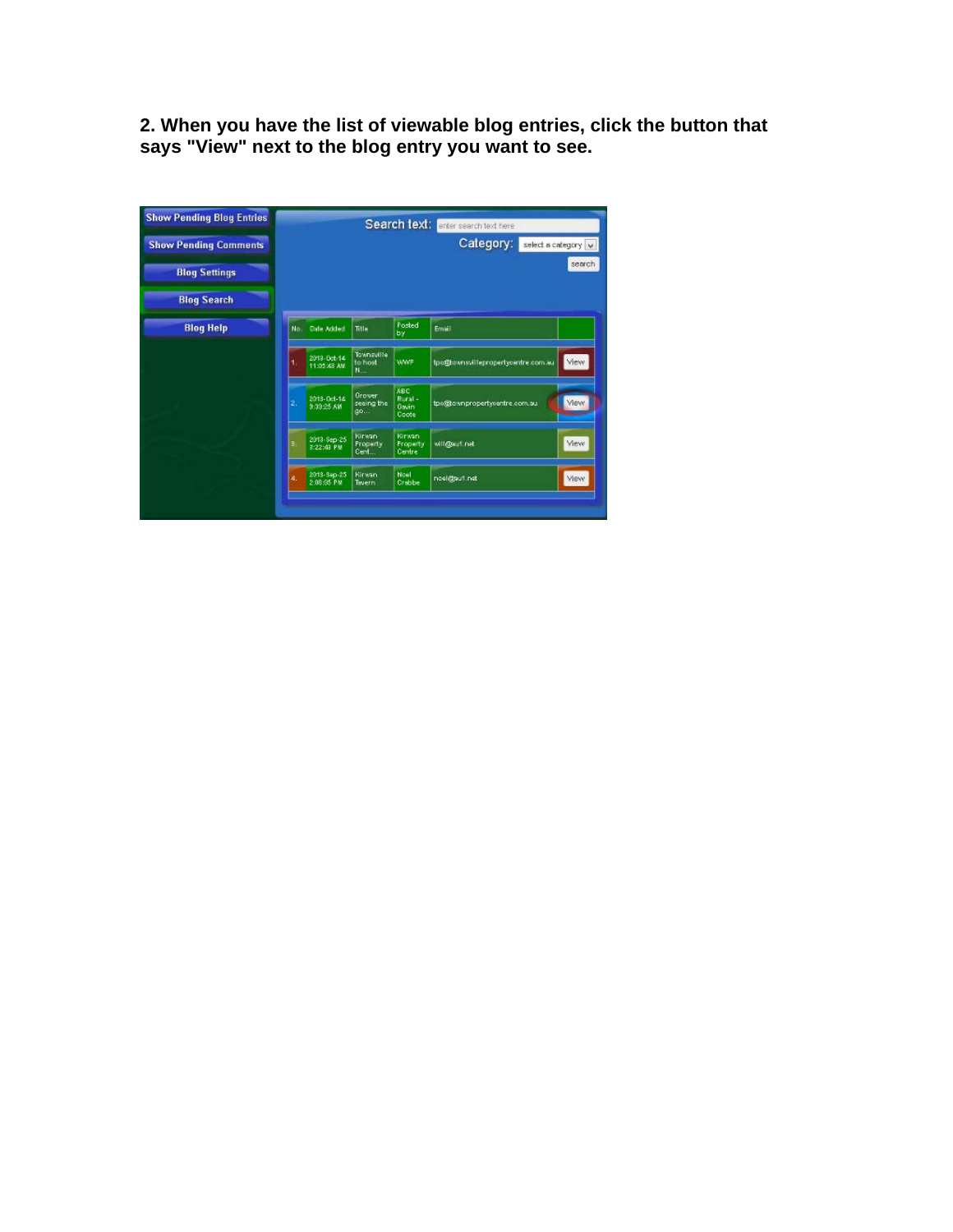**2. When you have the list of viewable blog entries, click the button that says "View" next to the blog entry you want to see.** 

| <b>Show Pending Blog Entries</b><br><b>Show Pending Comments</b><br><b>Blog Settings</b> |     |                            |                                          |                                         | Search text: enter search text here<br>Category: | select a category v<br>search |
|------------------------------------------------------------------------------------------|-----|----------------------------|------------------------------------------|-----------------------------------------|--------------------------------------------------|-------------------------------|
| <b>Blog Search</b>                                                                       |     |                            |                                          |                                         |                                                  |                               |
| <b>Blog Help</b>                                                                         | No. | <b>Oate Added</b>          | Title                                    | Posted<br>by                            | Email                                            |                               |
|                                                                                          | ۹.  | 2013-Det-14<br>11:05:43 AW | Townsuille<br>to host<br>N.,             | WWF                                     | tpo@bownsvillepropertycentre.com.au              | View                          |
|                                                                                          | 2.  | 2013-Oct-14<br>9:39:25 AM  | Grover<br>seeing the<br>go               | <b>ABC</b><br>Rural -<br>Gavin<br>Coote | tpo@townpropertyoentre.com.au                    | Ylew:                         |
|                                                                                          | š.  | 2013-Sep-25<br>3:22:43 PM  | <b>Kirwan</b><br><b>Property</b><br>Cert | <b>Kirwan</b><br>Property<br>Centre     | will@aut.net                                     | View                          |
|                                                                                          | A.  | 2013-Sep-25<br>2:06:05 PM  | Kirwan<br>Twern                          | Noel<br>Crabbe                          | noel@sufl.net                                    | <b>Mew</b>                    |
|                                                                                          |     |                            |                                          |                                         |                                                  |                               |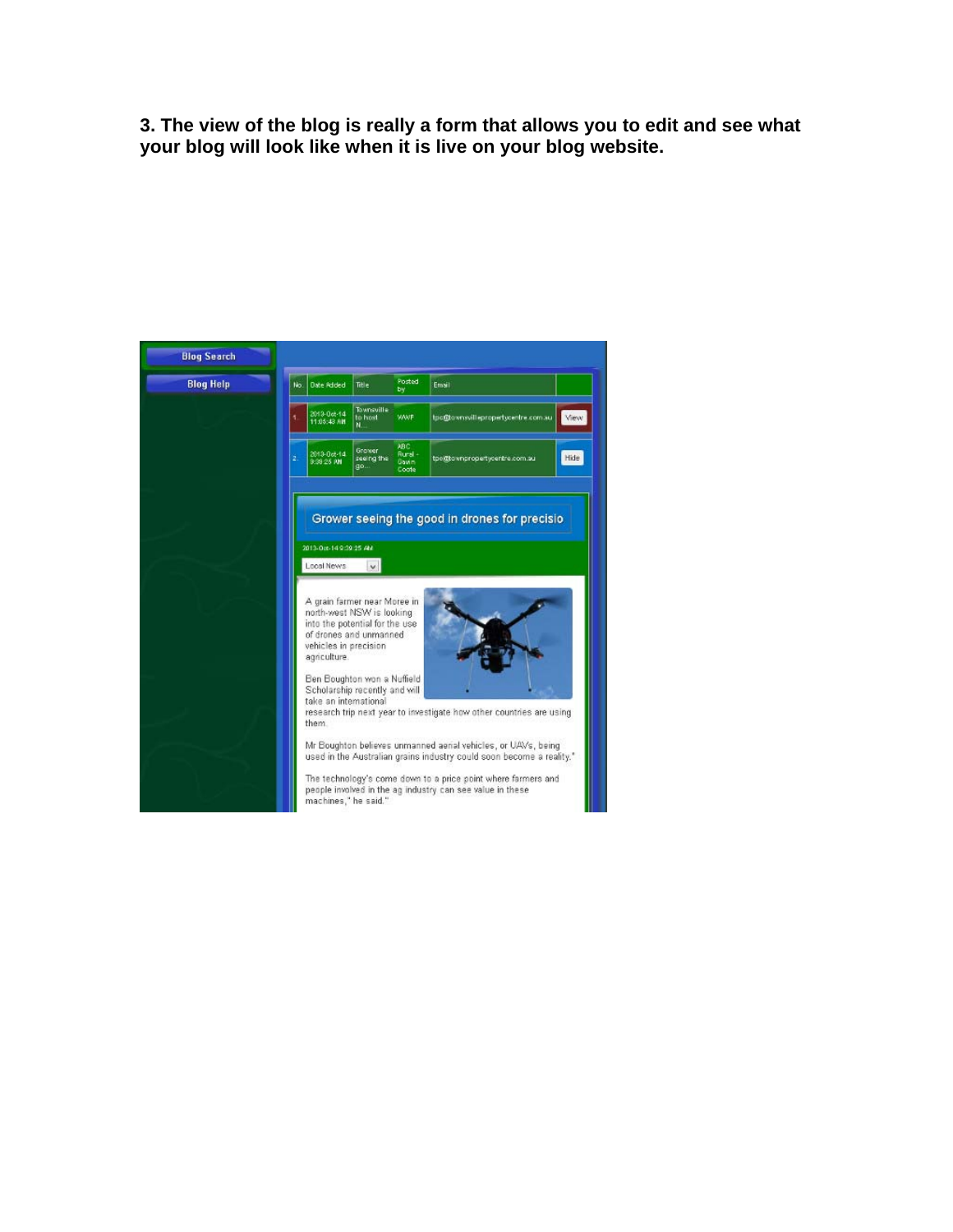**3. The view of the blog is really a form that allows you to edit and see what your blog will look like when it is live on your blog website.** 

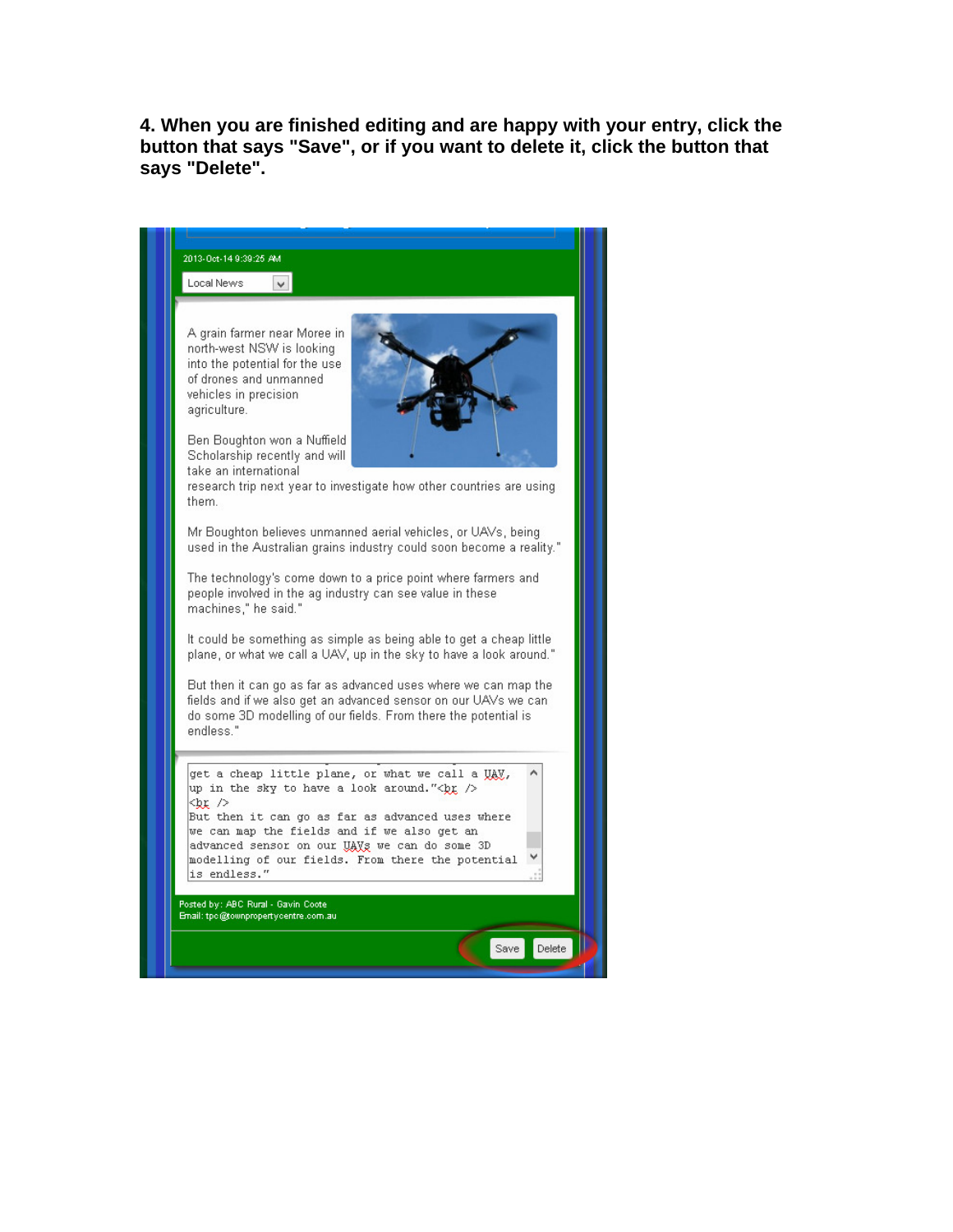**4. When you are finished editing and are happy with your entry, click the button that says "Save", or if you want to delete it, click the button that says "Delete".** 

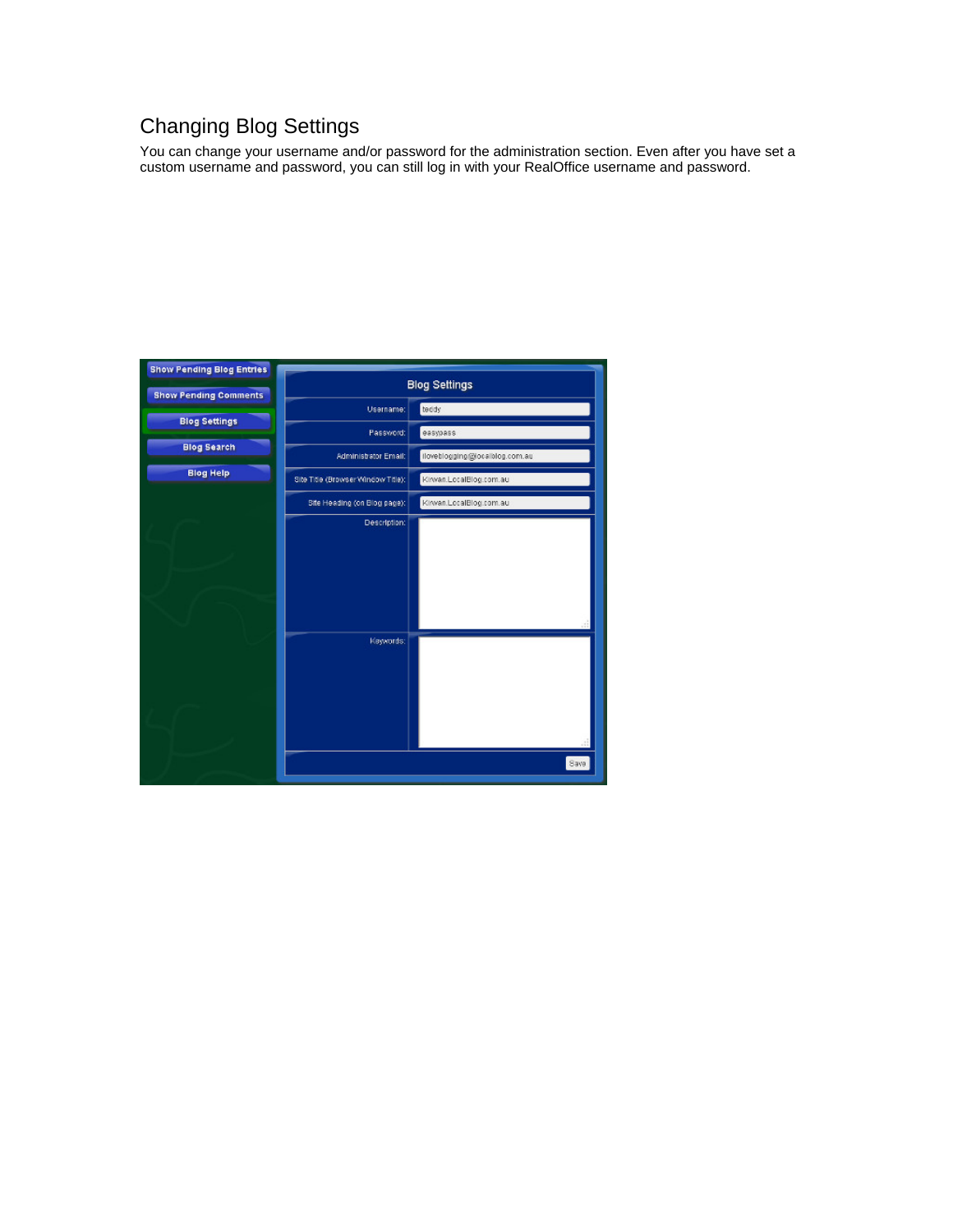### Changing Blog Settings

You can change your username and/or password for the administration section. Even after you have set a custom username and password, you can still log in with your RealOffice username and password.